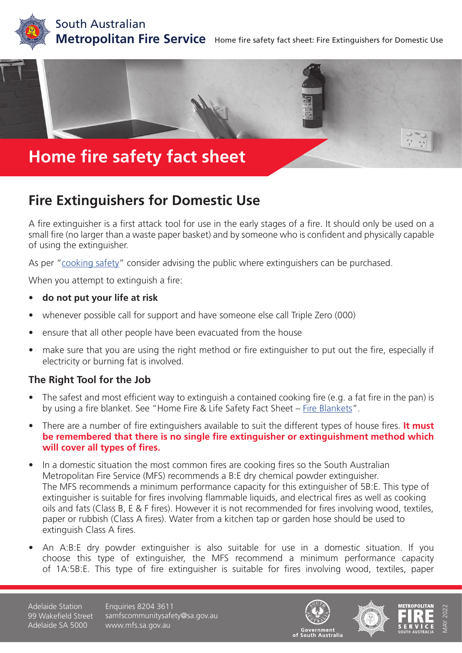





**Fire Extinguishers for Domestic Use**

A fire extinguisher is a first attack tool for use in the early stages of a fire. It should only be used on a small fire (no larger than a waste paper basket) and by someone who is confident and physically capable of using the extinguisher.

As per "[cooking safety"](https://www.mfs.sa.gov.au/community/safety-and-education/fact-sheets-and-brochures/fact-sheet-pages/cooking) consider advising the public where extinguishers can be purchased.

When you attempt to extinguish a fire:

- **• do not put your life at risk**
- whenever possible call for support and have someone else call Triple Zero (000)
- ensure that all other people have been evacuated from the house
- make sure that you are using the right method or fire extinguisher to put out the fire, especially if electricity or burning fat is involved.

#### **The Right Tool for the Job**

- The safest and most efficient way to extinguish a contained cooking fire (e.g. a fat fire in the pan) is by using a fire blanket. See "Home Fire & Life Safety Fact Sheet – [Fire Blankets](https://www.mfs.sa.gov.au/community/safety-and-education/fact-sheets-and-brochures/fact-sheet-pages/fire-blankets)".
- There are a number of fire extinguishers available to suit the different types of house fires. **It must be remembered that there is no single fire extinguisher or extinguishment method which will cover all types of fires.**
- In a domestic situation the most common fires are cooking fires so the South Australian Metropolitan Fire Service (MFS) recommends a B:E dry chemical powder extinguisher. The MFS recommends a minimum performance capacity for this extinguisher of 5B:E. This type of extinguisher is suitable for fires involving flammable liquids, and electrical fires as well as cooking oils and fats (Class B, E & F fires). However it is not recommended for fires involving wood, textiles, paper or rubbish (Class A fires). Water from a kitchen tap or garden hose should be used to extinguish Class A fires.
- An A:B:E dry powder extinguisher is also suitable for use in a domestic situation. If you choose this type of extinguisher, the MFS recommend a minimum performance capacity of 1A:5B:E. This type of fire extinguisher is suitable for fires involving wood, textiles, paper

Adelaide Station 99 Wakefield Street Adelaide SA 5000

Enquiries 8204 3611 samfscommunitysafety@sa.gov.au www.mfs.sa.gov.au





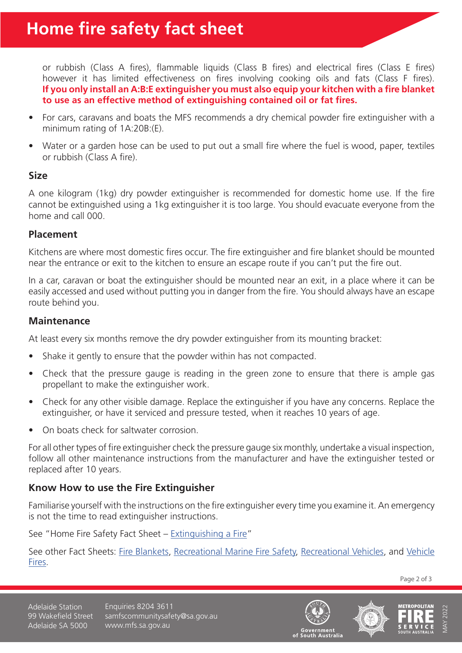or rubbish (Class A fires), flammable liquids (Class B fires) and electrical fires (Class E fires) however it has limited effectiveness on fires involving cooking oils and fats (Class F fires). **If you only install an A:B:E extinguisher you must also equip your kitchen with a fire blanket to use as an effective method of extinguishing contained oil or fat fires.** 

- For cars, caravans and boats the MFS recommends a dry chemical powder fire extinguisher with a minimum rating of 1A:20B:(E).
- Water or a garden hose can be used to put out a small fire where the fuel is wood, paper, textiles or rubbish (Class A fire).

#### **Size**

A one kilogram (1kg) dry powder extinguisher is recommended for domestic home use. If the fire cannot be extinguished using a 1kg extinguisher it is too large. You should evacuate everyone from the home and call 000.

### **Placement**

Kitchens are where most domestic fires occur. The fire extinguisher and fire blanket should be mounted near the entrance or exit to the kitchen to ensure an escape route if you can't put the fire out.

In a car, caravan or boat the extinguisher should be mounted near an exit, in a place where it can be easily accessed and used without putting you in danger from the fire. You should always have an escape route behind you.

## **Maintenance**

At least every six months remove the dry powder extinguisher from its mounting bracket:

- Shake it gently to ensure that the powder within has not compacted.
- Check that the pressure gauge is reading in the green zone to ensure that there is ample gas propellant to make the extinguisher work.
- Check for any other visible damage. Replace the extinguisher if you have any concerns. Replace the extinguisher, or have it serviced and pressure tested, when it reaches 10 years of age.
- On boats check for saltwater corrosion.

For all other types of fire extinguisher check the pressure gauge six monthly, undertake a visual inspection, follow all other maintenance instructions from the manufacturer and have the extinguisher tested or replaced after 10 years.

# **Know How to use the Fire Extinguisher**

Familiarise yourself with the instructions on the fire extinguisher every time you examine it. An emergency is not the time to read extinguisher instructions.

See "Home Fire Safety Fact Sheet - [Extinguishing a Fire](https://www.mfs.sa.gov.au/community/safety-and-education/fact-sheets-and-brochures/fact-sheet-pages/extinguishing-a-fire)"

See other Fact Sheets: [Fire Blankets](https://www.mfs.sa.gov.au/community/safety-and-education/fact-sheets-and-brochures/fact-sheet-pages/fire-blankets), [Recreational Marine Fire Safety](https://www.mfs.sa.gov.au/community/safety-and-education/fact-sheets-and-brochures/fact-sheet-pages/recreational-marine-fire-safety), [Recreational Vehicles](https://www.mfs.sa.gov.au/community/safety-and-education/fact-sheets-and-brochures/fact-sheet-pages/recreational-vehicles), and [Vehicle](https://www.mfs.sa.gov.au/community/safety-and-education/fact-sheets-and-brochures/fact-sheet-pages/vehicles-fires) [Fires](https://www.mfs.sa.gov.au/community/safety-and-education/fact-sheets-and-brochures/fact-sheet-pages/vehicles-fires).

Page 2 of 3

Adelaide Station 99 Wakefield Street Adelaide SA 5000

Enquiries 8204 3611 samfscommunitysafety@sa.gov.au www.mfs.sa.gov.au